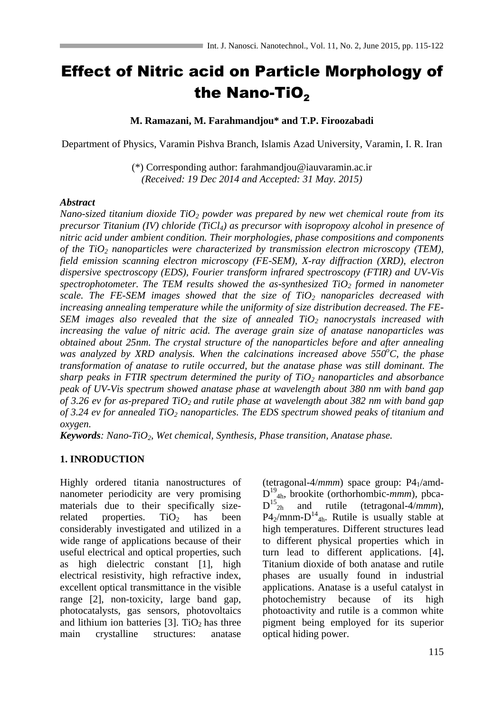# Effect of Nitric acid on Particle Morphology of the Nano-TiO $_2$

#### **M. Ramazani, M. Farahmandjou\* and T.P. Firoozabadi**

Department of Physics, Varamin Pishva Branch, Islamis Azad University, Varamin, I. R. Iran

(\*) Corresponding author: farahmandjou@iauvaramin.ac.ir *(Received: 19 Dec 2014 and Accepted: 31 May. 2015)*

#### *Abstract*

*Nano-sized titanium dioxide TiO<sup>2</sup> powder was prepared by new wet chemical route from its precursor Titanium (IV) chloride (TiCl4) as precursor with isopropoxy alcohol in presence of nitric acid under ambient condition. Their morphologies, phase compositions and components of the TiO<sup>2</sup> nanoparticles were characterized by transmission electron microscopy (TEM), field emission scanning electron microscopy (FE-SEM), X-ray diffraction (XRD), electron dispersive spectroscopy (EDS), Fourier transform infrared spectroscopy (FTIR) and UV-Vis spectrophotometer. The TEM results showed the as-synthesized TiO<sup>2</sup> formed in nanometer scale. The FE-SEM images showed that the size of TiO<sup>2</sup> nanoparicles decreased with increasing annealing temperature while the uniformity of size distribution decreased. The FE-SEM images also revealed that the size of annealed TiO<sup>2</sup> nanocrystals increased with increasing the value of nitric acid. The average grain size of anatase nanoparticles was obtained about 25nm. The crystal structure of the nanoparticles before and after annealing was analyzed by XRD analysis. When the calcinations increased above 550<sup>o</sup><i>C*, the phase *transformation of anatase to rutile occurred, but the anatase phase was still dominant. The sharp peaks in FTIR spectrum determined the purity of TiO<sup>2</sup> nanoparticles and absorbance peak of UV-Vis spectrum showed anatase phase at wavelength about 380 nm with band gap of 3.26 ev for as-prepared TiO2 and rutile phase at wavelength about 382 nm with band gap of 3.24 ev for annealed TiO<sup>2</sup> nanoparticles. The EDS spectrum showed peaks of titanium and oxygen.* 

*Keywords: Nano-TiO2, Wet chemical, Synthesis, Phase transition, Anatase phase.*

### **1. INRODUCTION**

Highly ordered titania nanostructures of nanometer periodicity are very promising materials due to their specifically sizerelated properties.  $TiO<sub>2</sub>$  has been considerably investigated and utilized in a wide range of applications because of their useful electrical and optical properties, such as high dielectric constant [1], high electrical resistivity, high refractive index, excellent optical transmittance in the visible range [2], non-toxicity, large band gap, photocatalysts, gas sensors, photovoltaics and lithium ion batteries  $[3]$ . TiO<sub>2</sub> has three main crystalline structures: anatase

(tetragonal-4/*mmm*) space group: P41/amd-D<sup>19</sup><sub>4h</sub>, brookite (orthorhombic-*mmm*), pbca- $D^{15}$ <sub>2h</sub> and rutile (tetragonal-4/*mmm*),  $P4_2$ /mnm- $D^{14}$ <sub>4h</sub>. Rutile is usually stable at high temperatures. Different structures lead to different physical properties which in turn lead to different applications. [4]**.**  Titanium dioxide of both anatase and rutile phases are usually found in industrial applications. Anatase is a useful catalyst in photochemistry because of its high photoactivity and rutile is a common white pigment being employed for its superior optical hiding power.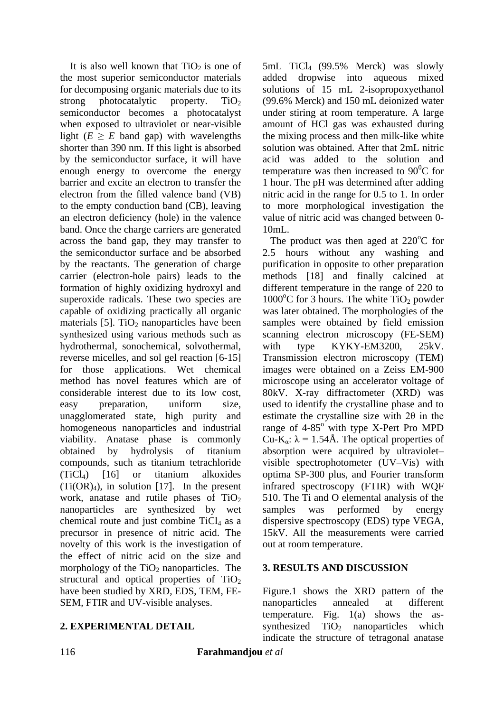It is also well known that  $TiO<sub>2</sub>$  is one of the most superior semiconductor materials for decomposing organic materials due to its strong photocatalytic property.  $TiO<sub>2</sub>$ semiconductor becomes a photocatalyst when exposed to ultraviolet or near-visible light  $(E \geq E$  band gap) with wavelengths shorter than 390 nm. If this light is absorbed by the semiconductor surface, it will have enough energy to overcome the energy barrier and excite an electron to transfer the electron from the filled valence band (VB) to the empty conduction band (CB), leaving an electron deficiency (hole) in the valence band. Once the charge carriers are generated across the band gap, they may transfer to the semiconductor surface and be absorbed by the reactants. The generation of charge carrier (electron-hole pairs) leads to the formation of highly oxidizing hydroxyl and superoxide radicals. These two species are capable of oxidizing practically all organic materials  $[5]$ . TiO<sub>2</sub> nanoparticles have been synthesized using various methods such as hydrothermal, sonochemical, solvothermal, reverse micelles, and sol gel reaction [6-15] for those applications. Wet chemical method has novel features which are of considerable interest due to its low cost, easy preparation, uniform size, unagglomerated state, high purity and homogeneous nanoparticles and industrial viability. Anatase phase is commonly obtained by hydrolysis of titanium compounds, such as titanium tetrachloride (TiCl4) [16] or titanium alkoxides  $(Ti(OR)<sub>4</sub>)$ , in solution [17]. In the present work, anatase and rutile phases of  $TiO<sub>2</sub>$ nanoparticles are synthesized by wet chemical route and just combine  $TiCl<sub>4</sub>$  as a precursor in presence of nitric acid. The novelty of this work is the investigation of the effect of nitric acid on the size and morphology of the  $TiO<sub>2</sub>$  nanoparticles. The structural and optical properties of  $TiO<sub>2</sub>$ have been studied by XRD, EDS, TEM, FE-SEM, FTIR and UV-visible analyses.

## **2. EXPERIMENTAL DETAIL**

5mL TiCl4 (99.5% Merck) was slowly added dropwise into aqueous mixed solutions of 15 mL 2-isopropoxyethanol (99.6% Merck) and 150 mL deionized water under stiring at room temperature. A large amount of HCl gas was exhausted during the mixing process and then milk-like white solution was obtained. After that 2mL nitric acid was added to the solution and temperature was then increased to  $90^{\circ}$ C for 1 hour. The pH was determined after adding nitric acid in the range for 0.5 to 1. In order to more morphological investigation the value of nitric acid was changed between 0-  $10mL$ .

The product was then aged at  $220^{\circ}$ C for 2.5 hours without any washing and purification in opposite to other preparation methods [18] and finally calcined at different temperature in the range of 220 to  $1000^{\circ}$ C for 3 hours. The white TiO<sub>2</sub> powder was later obtained. The morphologies of the samples were obtained by field emission scanning electron microscopy (FE-SEM) with type KYKY-EM3200, 25kV. Transmission electron microscopy (TEM) images were obtained on a Zeiss EM-900 microscope using an accelerator voltage of 80kV. X-ray diffractometer (XRD) was used to identify the crystalline phase and to estimate the crystalline size with 2θ in the range of  $4-85^\circ$  with type X-Pert Pro MPD Cu-K<sub>α</sub>:  $\lambda = 1.54$ Å. The optical properties of absorption were acquired by ultraviolet– visible spectrophotometer (UV–Vis) with optima SP-300 plus, and Fourier transform infrared spectroscopy (FTIR) with WQF 510. The Ti and O elemental analysis of the samples was performed by energy dispersive spectroscopy (EDS) type VEGA, 15kV. All the measurements were carried out at room temperature.

# **3. RESULTS AND DISCUSSION**

Figure.1 shows the XRD pattern of the nanoparticles annealed at different temperature. Fig. 1(a) shows the assynthesized  $TiO<sub>2</sub>$  nanoparticles which indicate the structure of tetragonal anatase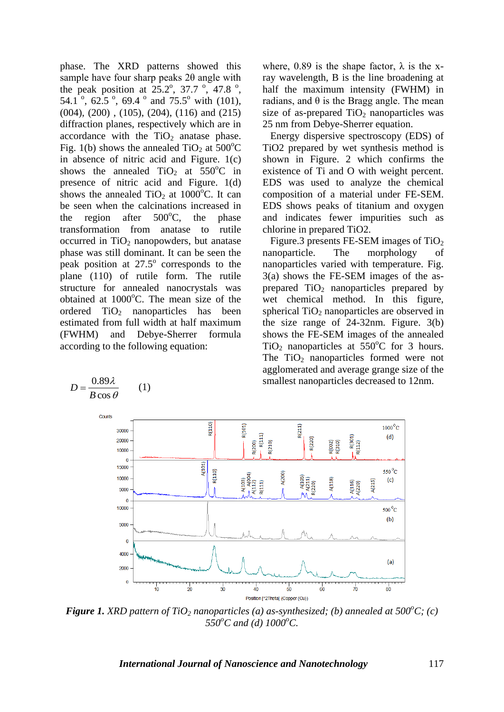phase. The XRD patterns showed this sample have four sharp peaks 2θ angle with the peak position at  $25.2^{\circ}$ , 37.7  $^{\circ}$ , 47.8  $^{\circ}$ , 54.1<sup>o</sup>, 62.5<sup>o</sup>, 69.4<sup>o</sup> and 75.5<sup>o</sup> with (101), (004), (200) , (105), (204), (116) and (215) diffraction planes, respectively which are in accordance with the  $TiO<sub>2</sub>$  anatase phase. Fig. 1(b) shows the annealed  $TiO<sub>2</sub>$  at  $500^{\circ}$ C in absence of nitric acid and Figure. 1(c) shows the annealed  $TiO<sub>2</sub>$  at  $550^{\circ}$ C in presence of nitric acid and Figure. 1(d) shows the annealed  $TiO<sub>2</sub>$  at 1000<sup>o</sup>C. It can be seen when the calcinations increased in the region after  $500^{\circ}$ C, the phase transformation from anatase to rutile occurred in  $TiO<sub>2</sub>$  nanopowders, but anatase phase was still dominant. It can be seen the peak position at  $27.5^\circ$  corresponds to the plane (110) of rutile form. The rutile structure for annealed nanocrystals was obtained at  $1000^{\circ}$ C. The mean size of the ordered  $TiO<sub>2</sub>$  nanoparticles has been estimated from full width at half maximum (FWHM) and Debye-Sherrer formula according to the following equation:

 $\lambda$ 

0.89

where, 0.89 is the shape factor,  $\lambda$  is the xray wavelength, B is the line broadening at half the maximum intensity (FWHM) in radians, and θ is the Bragg angle. The mean size of as-prepared  $TiO<sub>2</sub>$  nanoparticles was 25 nm from Debye-Sherrer equation.

 Energy dispersive spectroscopy (EDS) of TiO2 prepared by wet synthesis method is shown in Figure. 2 which confirms the existence of Ti and O with weight percent. EDS was used to analyze the chemical composition of a material under FE-SEM. EDS shows peaks of titanium and oxygen and indicates fewer impurities such as chlorine in prepared TiO2.

Figure.3 presents FE-SEM images of  $TiO<sub>2</sub>$ nanoparticle. The morphology of nanoparticles varied with temperature. Fig. 3(a) shows the FE-SEM images of the asprepared  $TiO<sub>2</sub>$  nanoparticles prepared by wet chemical method. In this figure, spherical  $TiO<sub>2</sub>$  nanoparticles are observed in the size range of 24-32nm. Figure. 3(b) shows the FE-SEM images of the annealed TiO<sub>2</sub> nanoparticles at  $550^{\circ}$ C for 3 hours. The  $TiO<sub>2</sub>$  nanoparticles formed were not agglomerated and average grange size of the smallest nanoparticles decreased to 12nm.



*Figure* 1. *XRD pattern of TiO<sub>2</sub> nanoparticles (a) as-synthesized; (b) annealed at 500<sup>o</sup><i>C*; (c) *550<sup>o</sup>C and (d) 1000<sup>o</sup>C.*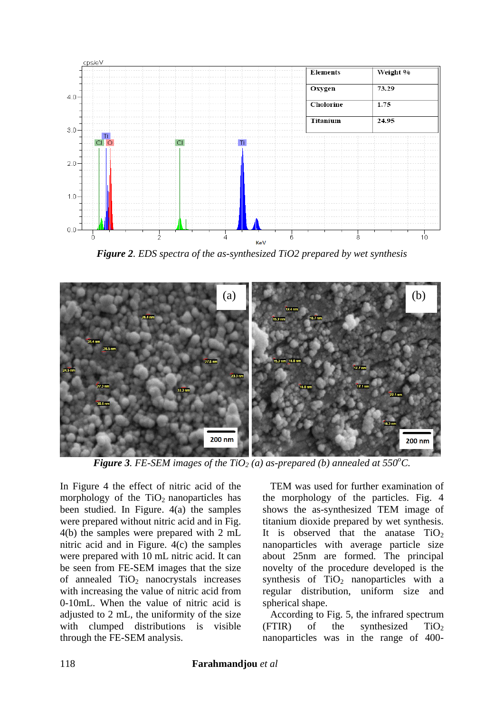

*Figure 2. EDS spectra of the as-synthesized TiO2 prepared by wet synthesis*



*Figure* 3. FE-SEM images of the TiO<sub>2</sub> (a) as-prepared (b) annealed at 550°C.

In Figure 4 the effect of nitric acid of the morphology of the  $TiO<sub>2</sub>$  nanoparticles has been studied. In Figure. 4(a) the samples were prepared without nitric acid and in Fig. 4(b) the samples were prepared with 2 mL nitric acid and in Figure. 4(c) the samples were prepared with 10 mL nitric acid. It can be seen from FE-SEM images that the size of annealed  $TiO<sub>2</sub>$  nanocrystals increases with increasing the value of nitric acid from 0-10mL. When the value of nitric acid is adjusted to 2 mL, the uniformity of the size with clumped distributions is visible through the FE-SEM analysis.

 TEM was used for further examination of the morphology of the particles. Fig. 4 shows the as-synthesized TEM image of titanium dioxide prepared by wet synthesis. It is observed that the anatase  $TiO<sub>2</sub>$ nanoparticles with average particle size about 25nm are formed. The principal novelty of the procedure developed is the synthesis of  $TiO<sub>2</sub>$  nanoparticles with a regular distribution, uniform size and spherical shape.

 According to Fig. 5, the infrared spectrum  $(FTIR)$  of the synthesized TiO<sub>2</sub> nanoparticles was in the range of 400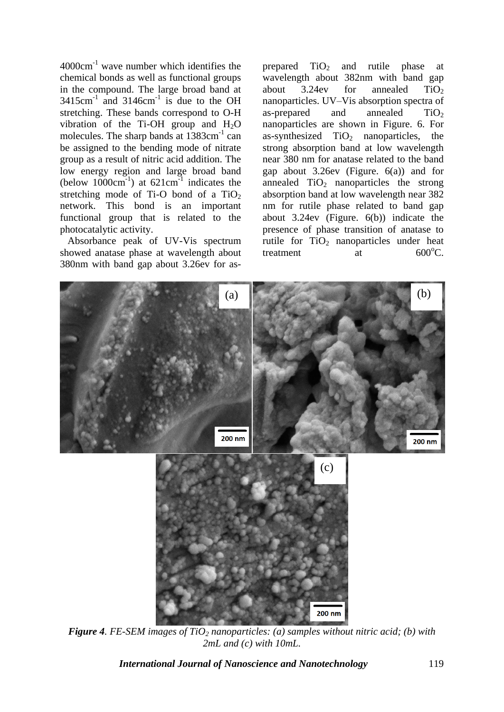$4000 \text{cm}^{-1}$  wave number which identifies the chemical bonds as well as functional groups in the compound. The large broad band at  $3415$ cm<sup>-1</sup> and  $3146$ cm<sup>-1</sup> is due to the OH stretching. These bands correspond to O-H vibration of the Ti-OH group and  $H_2O$ molecules. The sharp bands at  $1383 \text{cm}^{-1}$  can be assigned to the bending mode of nitrate group as a result of nitric acid addition. The low energy region and large broad band  $(below 1000cm<sup>-1</sup>)$  at  $621cm<sup>-1</sup>$  indicates the stretching mode of Ti-O bond of a  $TiO<sub>2</sub>$ network. This bond is an important functional group that is related to the photocatalytic activity.

 Absorbance peak of UV-Vis spectrum showed anatase phase at wavelength about 380nm with band gap about 3.26ev for asprepared  $TiO<sub>2</sub>$  and rutile phase at wavelength about 382nm with band gap about  $3.24$ ev for annealed TiO<sub>2</sub> nanoparticles. UV–Vis absorption spectra of as-prepared and annealed  $TiO<sub>2</sub>$ nanoparticles are shown in Figure. 6. For as-synthesized  $TiO<sub>2</sub>$  nanoparticles, the strong absorption band at low wavelength near 380 nm for anatase related to the band gap about  $3.26$ ev (Figure.  $6(a)$ ) and for annealed  $TiO<sub>2</sub>$  nanoparticles the strong absorption band at low wavelength near 382 nm for rutile phase related to band gap about 3.24ev (Figure. 6(b)) indicate the presence of phase transition of anatase to rutile for  $TiO<sub>2</sub>$  nanoparticles under heat treatment  $\alpha$  at  $600^{\circ}$ C.



*Figure 4. FE-SEM images of TiO<sup>2</sup> nanoparticles: (a) samples without nitric acid; (b) with 2mL and (c) with 10mL.*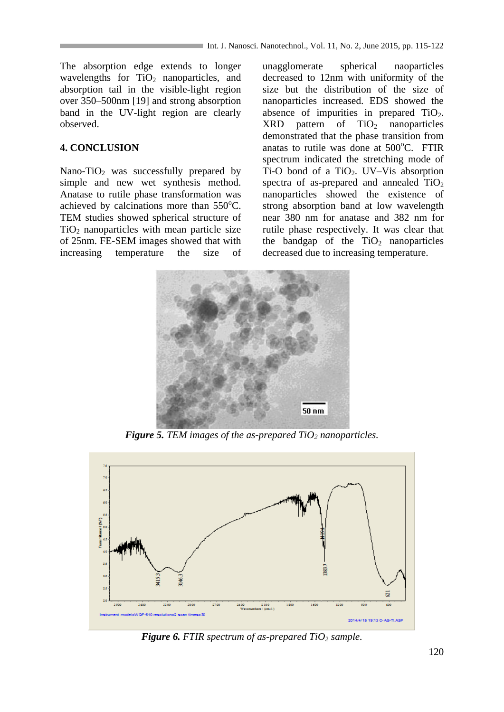The absorption edge extends to longer wavelengths for  $TiO<sub>2</sub>$  nanoparticles, and absorption tail in the visible-light region over 350–500nm [19] and strong absorption band in the UV-light region are clearly observed.

# **4. CONCLUSION**

Nano-TiO<sub>2</sub> was successfully prepared by simple and new wet synthesis method. Anatase to rutile phase transformation was achieved by calcinations more than  $550^{\circ}$ C. TEM studies showed spherical structure of  $TiO<sub>2</sub>$  nanoparticles with mean particle size of 25nm. FE-SEM images showed that with increasing temperature the size of unagglomerate spherical naoparticles decreased to 12nm with uniformity of the size but the distribution of the size of nanoparticles increased. EDS showed the absence of impurities in prepared  $TiO<sub>2</sub>$ .  $XRD$  pattern of  $TiO<sub>2</sub>$  nanoparticles demonstrated that the phase transition from anatas to rutile was done at  $500^{\circ}$ C. FTIR spectrum indicated the stretching mode of Ti-O bond of a  $TiO<sub>2</sub>$ . UV–Vis absorption spectra of as-prepared and annealed  $TiO<sub>2</sub>$ nanoparticles showed the existence of strong absorption band at low wavelength near 380 nm for anatase and 382 nm for rutile phase respectively. It was clear that the bandgap of the  $TiO<sub>2</sub>$  nanoparticles decreased due to increasing temperature.



*Figure 5. TEM images of the as-prepared TiO<sup>2</sup> nanoparticles.*



*Figure 6. FTIR spectrum of as-prepared TiO<sup>2</sup> sample.*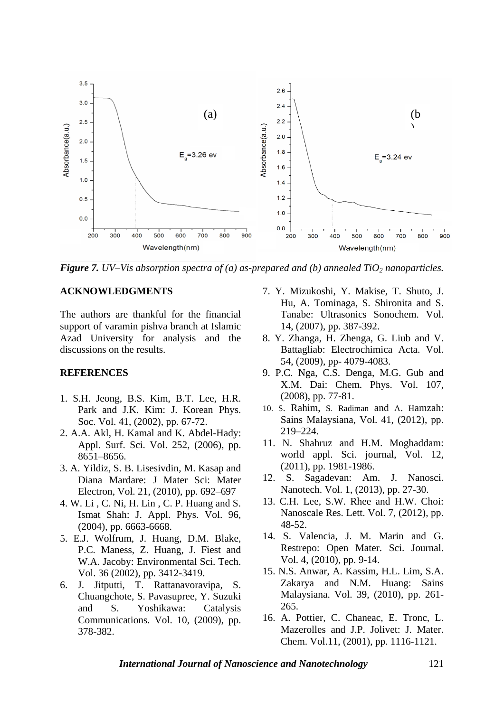

*Figure 7. UV–Vis absorption spectra of (a) as-prepared and (b) annealed TiO<sub>2</sub> <i>nanoparticles.* 

#### **ACKNOWLEDGMENTS**

The authors are thankful for the financial support of varamin pishva branch at Islamic Azad University for analysis and the discussions on the results.

#### **REFERENCES**

- 1. S.H. Jeong, B.S. Kim, B.T. Lee, H.R. Park and J.K. Kim: J. Korean Phys. Soc. Vol. 41, (2002), pp. 67-72.
- 2. A.A. Akl, H. Kamal and K. Abdel-Hady: Appl. Surf. Sci. Vol. 252, (2006), pp. 8651–8656.
- 3. A. Yildiz, S. B. Lisesivdin, M. Kasap and Diana Mardare: J Mater Sci: Mater Electron, Vol. 21, (2010), pp. 692–697
- 4. W. Li , C. Ni, H. Lin , C. P. Huang and S. Ismat Shah: J. Appl. Phys. Vol. 96, (2004), pp. 6663-6668.
- 5. E.J. Wolfrum, J. Huang, D.M. Blake, P.C. Maness, Z. Huang, J. Fiest and W.A. Jacoby: Environmental Sci. Tech. Vol. 36 (2002), pp. 3412-3419.
- 6. J. Jitputti, T. Rattanavoravipa, S. Chuangchote, S. Pavasupree, Y. Suzuki and S. Yoshikawa: Catalysis Communications. Vol. 10, (2009), pp. 378-382.
- 7. Y. Mizukoshi, Y. Makise, T. Shuto, J. Hu, A. Tominaga, S. Shironita and S. Tanabe: Ultrasonics Sonochem. Vol. 14, (2007), pp. 387-392.
- 8. Y. Zhanga, H. Zhenga, G. Liub and V. Battagliab: Electrochimica Acta. Vol. 54, (2009), pp- 4079-4083.
- 9. P.C. Nga, C.S. Denga, M.G. Gub and X.M. Dai: Chem. Phys. Vol. 107, (2008), pp. 77-81.
- 10. S. Rahim, S. Radiman and A. Hamzah: Sains Malaysiana, Vol. 41, (2012), pp. 219–224.
- 11. N. Shahruz and H.M. Moghaddam: world appl. Sci. journal, Vol. 12, (2011), pp. 1981-1986.
- 12. S. Sagadevan: Am. J. Nanosci. Nanotech. Vol. 1, (2013), pp. 27-30.
- 13. C.H. Lee, S.W. Rhee and H.W. Choi: Nanoscale Res. Lett. Vol. 7, (2012), pp. 48-52.
- 14. S. Valencia, J. M. Marin and G. Restrepo: Open Mater. Sci. Journal. Vol. 4, (2010), pp. 9-14.
- 15. N.S. Anwar, A. Kassim, H.L. Lim, S.A. Zakarya and N.M. Huang: Sains Malaysiana. Vol. 39, (2010), pp. 261- 265.
- 16. A. Pottier, C. Chaneac, E. Tronc, L. Mazerolles and J.P. Jolivet: J. Mater. Chem. Vol.11, (2001), pp. 1116-1121.